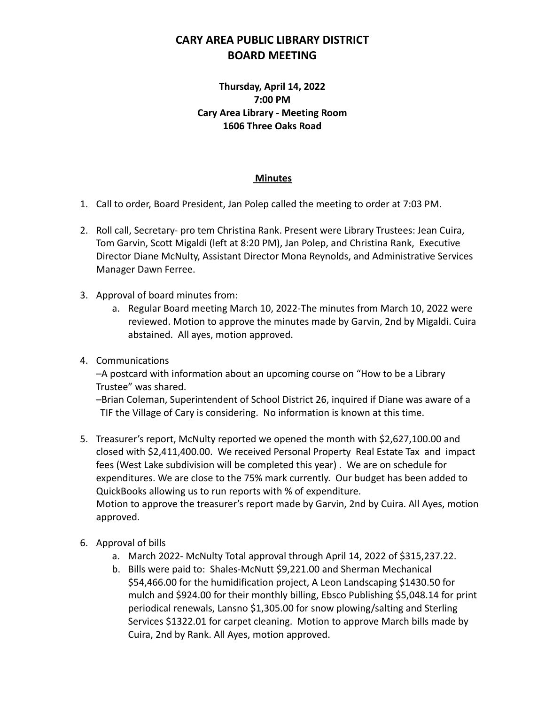## **CARY AREA PUBLIC LIBRARY DISTRICT BOARD MEETING**

## **Thursday, April 14, 2022 7:00 PM Cary Area Library - Meeting Room 1606 Three Oaks Road**

## **Minutes**

- 1. Call to order, Board President, Jan Polep called the meeting to order at 7:03 PM.
- 2. Roll call, Secretary- pro tem Christina Rank. Present were Library Trustees: Jean Cuira, Tom Garvin, Scott Migaldi (left at 8:20 PM), Jan Polep, and Christina Rank, Executive Director Diane McNulty, Assistant Director Mona Reynolds, and Administrative Services Manager Dawn Ferree.
- 3. Approval of board minutes from:
	- a. Regular Board meeting March 10, 2022-The minutes from March 10, 2022 were reviewed. Motion to approve the minutes made by Garvin, 2nd by Migaldi. Cuira abstained. All ayes, motion approved.
- 4. Communications

–A postcard with information about an upcoming course on "How to be a Library Trustee" was shared.

–Brian Coleman, Superintendent of School District 26, inquired if Diane was aware of a TIF the Village of Cary is considering. No information is known at this time.

- 5. Treasurer's report, McNulty reported we opened the month with \$2,627,100.00 and closed with \$2,411,400.00. We received Personal Property Real Estate Tax and impact fees (West Lake subdivision will be completed this year) . We are on schedule for expenditures. We are close to the 75% mark currently. Our budget has been added to QuickBooks allowing us to run reports with % of expenditure. Motion to approve the treasurer's report made by Garvin, 2nd by Cuira. All Ayes, motion approved.
- 6. Approval of bills
	- a. March 2022- McNulty Total approval through April 14, 2022 of \$315,237.22.
	- b. Bills were paid to: Shales-McNutt \$9,221.00 and Sherman Mechanical \$54,466.00 for the humidification project, A Leon Landscaping \$1430.50 for mulch and \$924.00 for their monthly billing, Ebsco Publishing \$5,048.14 for print periodical renewals, Lansno \$1,305.00 for snow plowing/salting and Sterling Services \$1322.01 for carpet cleaning. Motion to approve March bills made by Cuira, 2nd by Rank. All Ayes, motion approved.